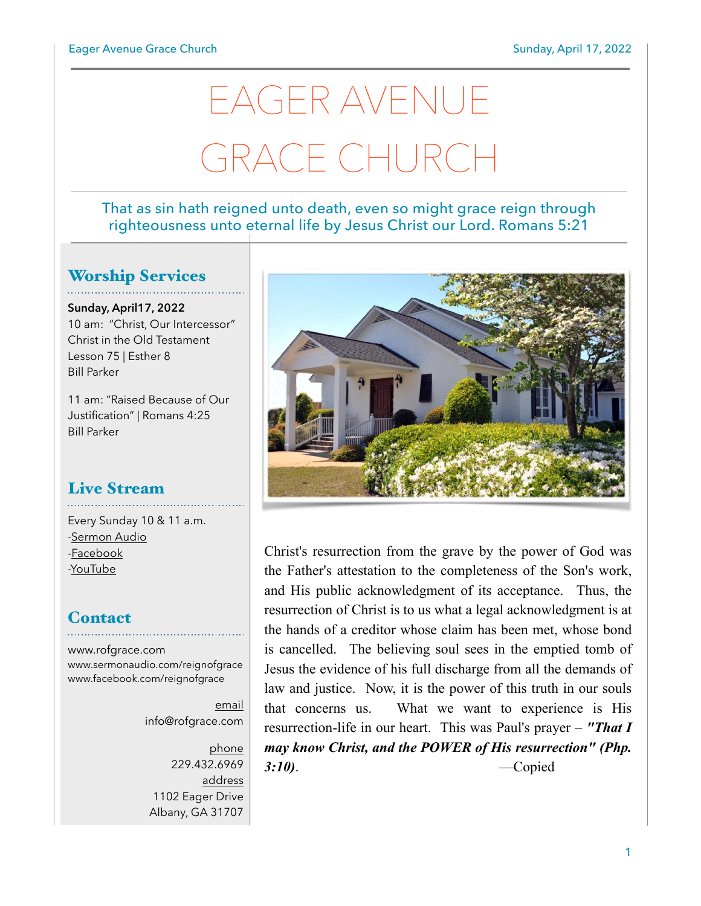# EAGER AVENUE GRACE CHURCH

#### That as sin hath reigned unto death, even so might grace reign through righteousness unto eternal life by Jesus Christ our Lord. Romans 5:21

#### Worship Services

**Sunday, April17, 2022** 10 am: "Christ, Our Intercessor" Christ in the Old Testament Lesson 75 | Esther 8 Bill Parker

11 am: "Raised Because of Our Justification" | Romans 4:25 Bill Parker

## Live Stream

Every Sunday 10 & 11 a.m. [-Sermon Audio](http://sermonaudio.com/reignofgrace) [-Facebook](http://facebook.com/eageravechurch) [-YouTube](http://youtube.com/channel/UCu_lTHCIUOK0cka9AjFV_5Q/live)

#### **Contact**

[www.rofgrace.com](http://www.rofgrace.com) [www.sermonaudio.com/reignofgrace](http://www.sermonaudio.com/reignofgrace) [www.facebook.com/reignofgrace](http://www.facebook.com/reignofgrace)

> email [info@rofgrace.com](mailto:info@rofgrace.com?subject=)

phone 229.432.6969 address 1102 Eager Drive Albany, GA 31707



Christ's resurrection from the grave by the power of God was the Father's attestation to the completeness of the Son's work, and His public acknowledgment of its acceptance. Thus, the resurrection of Christ is to us what a legal acknowledgment is at the hands of a creditor whose claim has been met, whose bond is cancelled. The believing soul sees in the emptied tomb of Jesus the evidence of his full discharge from all the demands of law and justice. Now, it is the power of this truth in our souls that concerns us. What we want to experience is His resurrection-life in our heart. This was Paul's prayer – *"That I may know Christ, and the POWER of His resurrection" (Php. 3:10)*. —Copied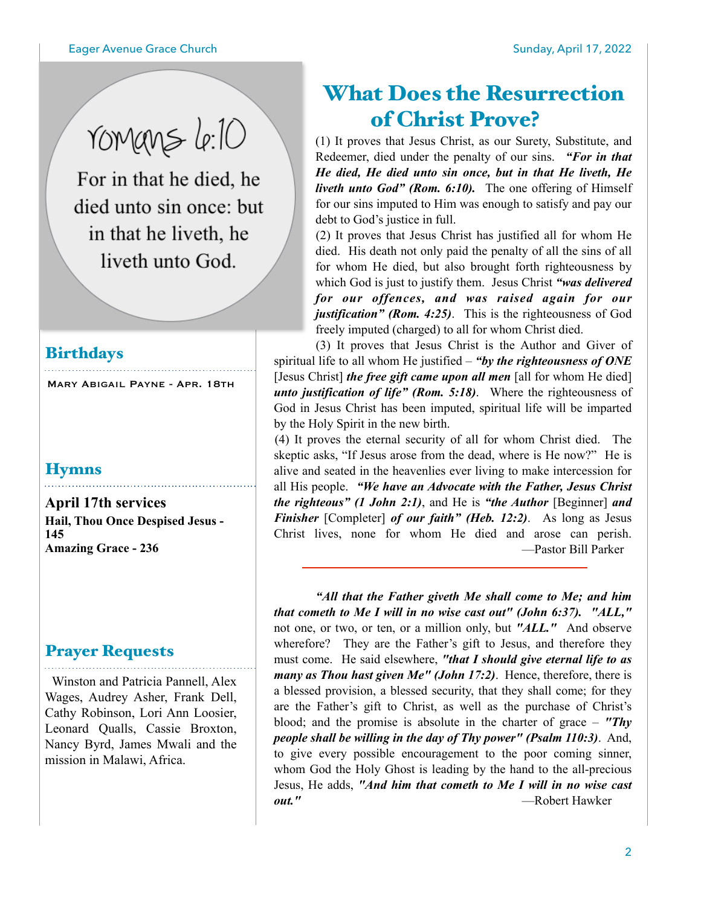romans le:10

For in that he died, he died unto sin once: but in that he liveth, he liveth unto God.

#### **Birthdays**

Mary Abigail Payne - Apr. 18th

#### **Hymns**

**April 17th services Hail, Thou Once Despised Jesus - 145 Amazing Grace - 236**

#### Prayer Requests

 Winston and Patricia Pannell, Alex Wages, Audrey Asher, Frank Dell, Cathy Robinson, Lori Ann Loosier, Leonard Qualls, Cassie Broxton, Nancy Byrd, James Mwali and the mission in Malawi, Africa.

## What Does the Resurrection of Christ Prove?

(1) It proves that Jesus Christ, as our Surety, Substitute, and Redeemer, died under the penalty of our sins. *"For in that He died, He died unto sin once, but in that He liveth, He liveth unto God" (Rom. 6:10).* The one offering of Himself for our sins imputed to Him was enough to satisfy and pay our debt to God's justice in full.

 (2) It proves that Jesus Christ has justified all for whom He died. His death not only paid the penalty of all the sins of all for whom He died, but also brought forth righteousness by which God is just to justify them. Jesus Christ *"was delivered for our offences, and was raised again for our justification" (Rom. 4:25)*. This is the righteousness of God freely imputed (charged) to all for whom Christ died.

 (3) It proves that Jesus Christ is the Author and Giver of spiritual life to all whom He justified – *"by the righteousness of ONE* [Jesus Christ] *the free gift came upon all men* [all for whom He died] *unto justification of life" (Rom. 5:18)*. Where the righteousness of God in Jesus Christ has been imputed, spiritual life will be imparted by the Holy Spirit in the new birth.

 (4) It proves the eternal security of all for whom Christ died. The skeptic asks, "If Jesus arose from the dead, where is He now?" He is alive and seated in the heavenlies ever living to make intercession for all His people. *"We have an Advocate with the Father, Jesus Christ the righteous" (1 John 2:1)*, and He is *"the Author* [Beginner] *and Finisher* [Completer] *of our faith*" *(Heb. 12:2)*. As long as Jesus Christ lives, none for whom He died and arose can perish. —Pastor Bill Parker

 *"All that the Father giveth Me shall come to Me; and him that cometh to Me I will in no wise cast out" (John 6:37). "ALL,"* not one, or two, or ten, or a million only, but *"ALL."* And observe wherefore? They are the Father's gift to Jesus, and therefore they must come. He said elsewhere, *"that I should give eternal life to as many as Thou hast given Me" (John 17:2)*. Hence, therefore, there is a blessed provision, a blessed security, that they shall come; for they are the Father's gift to Christ, as well as the purchase of Christ's blood; and the promise is absolute in the charter of grace – *"Thy people shall be willing in the day of Thy power" (Psalm 110:3)*. And, to give every possible encouragement to the poor coming sinner, whom God the Holy Ghost is leading by the hand to the all-precious Jesus, He adds, *"And him that cometh to Me I will in no wise cast out."* —Robert Hawker